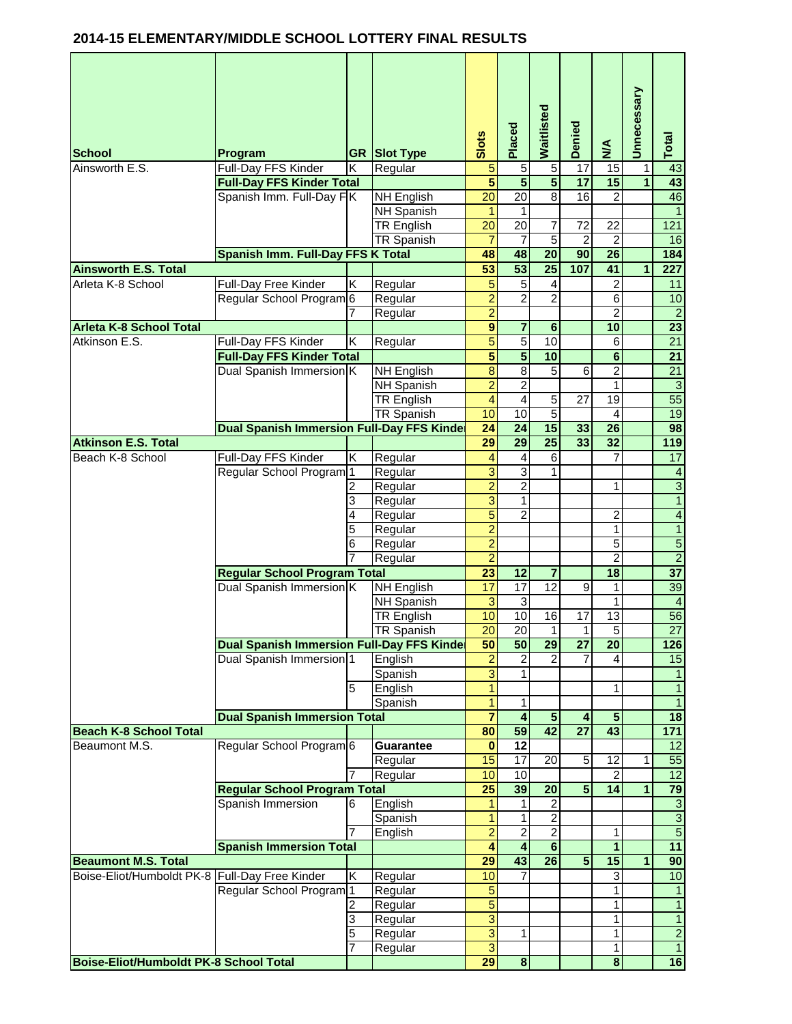## **2014-15 ELEMENTARY/MIDDLE SCHOOL LOTTERY FINAL RESULTS**

| <b>School</b>                                 | Program                                           |   | <b>GR Slot Type</b> | Slots                            | Placed                  | Waitlisted              | Denied                  | $\sum_{i=1}^{n}$        | Unnecessary          | Total                          |
|-----------------------------------------------|---------------------------------------------------|---|---------------------|----------------------------------|-------------------------|-------------------------|-------------------------|-------------------------|----------------------|--------------------------------|
| Ainsworth E.S.                                | Full-Day FFS Kinder                               | Κ | Regular             | $\overline{5}$                   | $\overline{5}$          | $\overline{5}$          | $\overline{17}$         | 15                      | 1                    | 43                             |
|                                               | <b>Full-Day FFS Kinder Total</b>                  |   |                     | $\overline{5}$                   | $\overline{\mathbf{5}}$ | $\overline{\mathbf{5}}$ | $\overline{17}$         | 15                      | $\overline{1}$       | 43                             |
|                                               | Spanish Imm. Full-Day FK                          |   | <b>NH English</b>   | $\overline{20}$                  | $\overline{20}$         | 8                       | 16                      | 2                       |                      | 46                             |
|                                               |                                                   |   | <b>NH Spanish</b>   | 1                                | 1                       |                         |                         |                         |                      | $\overline{1}$                 |
|                                               |                                                   |   | <b>TR English</b>   | $\overline{20}$                  | $\overline{20}$         | $\overline{7}$          | 72                      | 22                      |                      | 121                            |
|                                               |                                                   |   | <b>TR Spanish</b>   | $\overline{7}$                   | 7                       | $\overline{5}$          | $\overline{2}$          | $\overline{2}$          |                      | 16                             |
| <b>Ainsworth E.S. Total</b>                   | <b>Spanish Imm. Full-Day FFS K Total</b>          |   |                     | 48<br>$\overline{53}$            | 48<br>$\overline{53}$   | $\overline{20}$<br>25   | 90<br>107               | $\overline{26}$<br>41   | $\blacktriangleleft$ | 184<br>$\overline{227}$        |
| Arleta K-8 School                             | Full-Day Free Kinder                              | Κ |                     | 5                                | 5                       | $\overline{\mathbf{4}}$ |                         | $\overline{\mathbf{c}}$ |                      | 11                             |
|                                               | Regular School Program 6                          |   | Regular<br>Regular  | $\overline{2}$                   | $\overline{2}$          | $\overline{2}$          |                         | $\overline{6}$          |                      | 10                             |
|                                               |                                                   |   | Regular             | $\overline{2}$                   |                         |                         |                         | $\overline{2}$          |                      | $\overline{2}$                 |
| <b>Arleta K-8 School Total</b>                |                                                   |   |                     | $\overline{9}$                   | 7                       | $6\phantom{1}6$         |                         | 10                      |                      | $\overline{23}$                |
| Atkinson E.S.                                 | Full-Day FFS Kinder                               | Κ | Regular             | $\overline{5}$                   | $\overline{5}$          | 10                      |                         | 6                       |                      | $\overline{21}$                |
|                                               | <b>Full-Day FFS Kinder Total</b>                  |   |                     | 5                                | $\overline{\mathbf{5}}$ | 10                      |                         | $\overline{6}$          |                      | $\overline{21}$                |
|                                               | Dual Spanish Immersion K                          |   | <b>NH English</b>   | $\overline{8}$                   | $\overline{8}$          | $\overline{5}$          | $\overline{6}$          | $\overline{2}$          |                      | $\overline{21}$                |
|                                               |                                                   |   | <b>NH Spanish</b>   | $\overline{2}$                   | $\overline{2}$          |                         |                         | $\mathbf{1}$            |                      | $\overline{3}$                 |
|                                               |                                                   |   | <b>TR English</b>   | $\overline{4}$                   | $\overline{4}$          | $\overline{5}$          | 27                      | 19                      |                      | 55                             |
|                                               |                                                   |   | <b>TR Spanish</b>   | 10                               | 10                      | 5                       |                         | 4                       |                      | 19                             |
|                                               | <b>Dual Spanish Immersion Full-Day FFS Kinder</b> |   |                     | 24                               | 24                      | 15                      | 33                      | $\overline{26}$         |                      | 98                             |
| <b>Atkinson E.S. Total</b>                    |                                                   |   |                     | $\overline{29}$                  | $\overline{29}$         | 25                      | 33                      | 32                      |                      | 119                            |
| Beach K-8 School                              | Full-Day FFS Kinder                               | Κ | Regular             | $\overline{\mathbf{4}}$          | $\overline{\mathbf{4}}$ | 6                       |                         | $\overline{7}$          |                      | 17                             |
|                                               | Regular School Program <sup>1</sup>               |   | Regular             | $\overline{3}$                   | $\overline{3}$          | 1                       |                         |                         |                      | $\overline{a}$                 |
|                                               |                                                   |   | Regular             | $\overline{2}$                   | $\overline{2}$          |                         |                         | 1                       |                      | $\overline{3}$                 |
|                                               |                                                   | 3 | Regular             | $\overline{3}$                   | 1                       |                         |                         |                         |                      | $\overline{1}$                 |
|                                               |                                                   | 4 | Regular             | $\overline{5}$                   | $\overline{2}$          |                         |                         | 2                       |                      | $\overline{4}$                 |
|                                               |                                                   | 5 | Regular             | $\overline{2}$                   |                         |                         |                         | 1                       |                      | $\overline{1}$                 |
|                                               |                                                   | 6 | Regular             | $\overline{2}$                   |                         |                         |                         | $\overline{5}$          |                      | $\overline{5}$                 |
|                                               |                                                   |   | Regular             | $\overline{2}$                   |                         |                         |                         | $\overline{2}$          |                      | $\overline{2}$                 |
|                                               | <b>Regular School Program Total</b>               |   |                     | $\overline{23}$                  | $\overline{12}$         | $\overline{7}$          |                         | $\overline{18}$         |                      | $\overline{37}$                |
|                                               | Dual Spanish Immersion K                          |   | <b>NH English</b>   | 17                               | $\overline{17}$         | $\overline{12}$         | 9                       | 1                       |                      | 39                             |
|                                               |                                                   |   | <b>NH Spanish</b>   | $\overline{3}$                   | $\overline{3}$          |                         |                         | $\mathbf{1}$            |                      | $\overline{4}$                 |
|                                               |                                                   |   | <b>TR English</b>   | 10                               | 10                      | $\overline{6}$          | $\overline{17}$         | $\overline{13}$         |                      | 56                             |
|                                               |                                                   |   | <b>TR Spanish</b>   | $20\overline{)}$                 | 20                      | $\overline{1}$          | $\overline{1}$          | $\overline{5}$          |                      | $\overline{27}$                |
|                                               | <b>Dual Spanish Immersion Full-Day FFS Kinde</b>  |   |                     | 50                               | $\overline{50}$         | 29                      | $\overline{27}$         | 20                      |                      | 126                            |
|                                               | Dual Spanish Immersion 1                          |   | English             | $\overline{2}$                   | 2                       |                         |                         | 4                       |                      | 15                             |
|                                               |                                                   |   | Spanish             | $\overline{3}$                   |                         |                         |                         |                         |                      |                                |
|                                               |                                                   | 5 | English             | $\overline{1}$<br>$\overline{1}$ |                         |                         |                         | 1                       |                      | $\mathbf{1}$<br>$\overline{1}$ |
|                                               | <b>Dual Spanish Immersion Total</b>               |   | Spanish             | 7                                | 1<br>4                  | $\sqrt{5}$              | 4                       | $5\phantom{1}$          |                      | $\overline{18}$                |
| <b>Beach K-8 School Total</b>                 |                                                   |   |                     | 80                               | 59                      | $\overline{42}$         | $\overline{27}$         | 43                      |                      | $\overline{171}$               |
| Beaumont M.S.                                 | Regular School Program 6                          |   | <b>Guarantee</b>    | 0                                | $\overline{12}$         |                         |                         |                         |                      | $\overline{12}$                |
|                                               |                                                   |   | Regular             | 15                               | 17                      | 20                      | $\overline{5}$          | 12                      | 1                    | 55                             |
|                                               |                                                   |   | Regular             | 10                               | 10                      |                         |                         | $\overline{2}$          |                      | 12                             |
|                                               | <b>Regular School Program Total</b>               |   |                     | $\overline{25}$                  | 39                      | $\overline{20}$         | $\overline{5}$          | $\overline{14}$         | 1                    | $\overline{79}$                |
|                                               | Spanish Immersion                                 | 6 | English             | $\mathbf{1}$                     | 1                       | $\overline{c}$          |                         |                         |                      | $\overline{3}$                 |
|                                               |                                                   |   | Spanish             | $\mathbf{1}$                     | 1                       | $\overline{2}$          |                         |                         |                      |                                |
|                                               |                                                   | 7 | English             | $\overline{2}$                   | $\overline{2}$          | $\overline{2}$          |                         | 1                       |                      | $\frac{3}{5}$                  |
|                                               | <b>Spanish Immersion Total</b>                    |   |                     | $\overline{\mathbf{4}}$          | 4                       | 6                       |                         | $\mathbf{1}$            |                      | 11                             |
| <b>Beaumont M.S. Total</b>                    |                                                   |   |                     | 29                               | 43                      | 26                      | $\overline{\mathbf{5}}$ | 15                      | 1                    | 90                             |
| Boise-Eliot/Humboldt PK-8                     | <b>Full-Day Free Kinder</b>                       | Κ | Regular             | 10                               |                         |                         |                         | 3                       |                      | 10                             |
|                                               | Regular School Program <sup>1</sup>               |   | Regular             | 5                                |                         |                         |                         | $\mathbf{1}$            |                      | $\mathbf{1}$                   |
|                                               |                                                   | 2 | Regular             | $\overline{5}$                   |                         |                         |                         | $\mathbf{1}$            |                      | $\overline{1}$                 |
|                                               |                                                   | 3 | Regular             | $\overline{3}$                   |                         |                         |                         | 1                       |                      | $\overline{1}$                 |
|                                               |                                                   | 5 | Regular             | $\overline{3}$                   | 1                       |                         |                         | 1                       |                      | $\overline{2}$                 |
|                                               |                                                   | 7 | Regular             | 3                                |                         |                         |                         | 1                       |                      | $\mathbf{1}$                   |
| <b>Boise-Eliot/Humboldt PK-8 School Total</b> |                                                   |   |                     | 29                               | $\boldsymbol{8}$        |                         |                         | $\overline{\mathbf{8}}$ |                      | 16                             |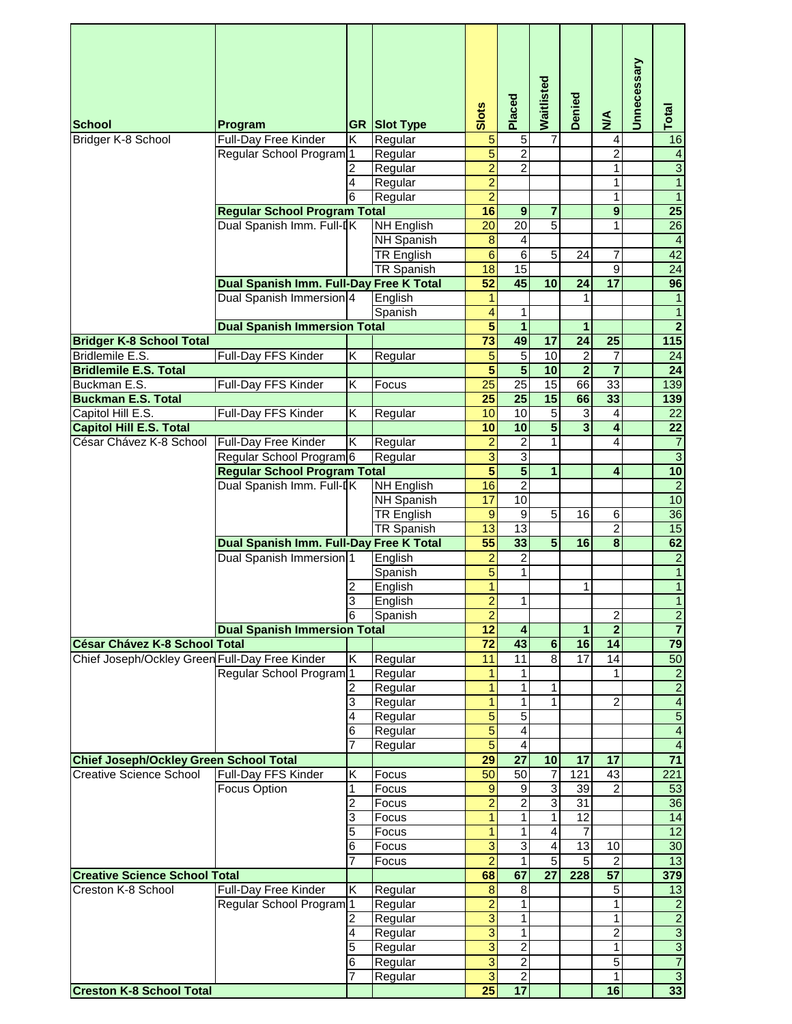|                                                |                                         |        |                     | Slots                            | Placed                  | Waitlisted               | <b>Denied</b>           | $\sum_{i=1}^{n}$               | Unnecessary | Total                                             |
|------------------------------------------------|-----------------------------------------|--------|---------------------|----------------------------------|-------------------------|--------------------------|-------------------------|--------------------------------|-------------|---------------------------------------------------|
| <b>School</b>                                  | Program                                 |        | <b>GR Slot Type</b> |                                  |                         |                          |                         |                                |             |                                                   |
| Bridger K-8 School                             | Full-Day Free Kinder                    | Κ      | Regular             | $\overline{5}$                   | $\mathbf 5$             | $\overline{7}$           |                         | 4                              |             | 16                                                |
|                                                | Regular School Program                  | 1      | Regular             | 5                                | $\overline{2}$          |                          |                         | $\overline{2}$                 |             | $\overline{4}$                                    |
|                                                |                                         |        | Regular             | $\overline{2}$                   | $\overline{2}$          |                          |                         | 1                              |             | $\overline{3}$<br>$\overline{1}$                  |
|                                                |                                         | 4<br>6 | Regular             | $\overline{2}$<br>$\overline{2}$ |                         |                          |                         | $\overline{1}$<br>$\mathbf{1}$ |             | $\overline{1}$                                    |
|                                                | <b>Regular School Program Total</b>     |        | Regular             | 16                               | $\overline{9}$          | $\overline{7}$           |                         | $\overline{9}$                 |             | $\overline{25}$                                   |
|                                                | Dual Spanish Imm. Full-IK               |        | <b>NH English</b>   | $\overline{20}$                  | $\overline{20}$         | $\overline{5}$           |                         | 1                              |             | 26                                                |
|                                                |                                         |        | <b>NH Spanish</b>   | $\overline{\mathbf{8}}$          | 4                       |                          |                         |                                |             | $\overline{4}$                                    |
|                                                |                                         |        | <b>TR English</b>   | $\overline{6}$                   | $\overline{6}$          | $\overline{5}$           | 24                      | 7                              |             | 42                                                |
|                                                |                                         |        | TR Spanish          | 18                               | 15                      |                          |                         | 9                              |             | $\overline{24}$                                   |
|                                                | Dual Spanish Imm. Full-Day Free K Total |        |                     | $\overline{52}$                  | 45                      | 10                       | 24                      | $\overline{17}$                |             | 96                                                |
|                                                | Dual Spanish Immersion 4                |        | English             | 1                                |                         |                          | 1                       |                                |             | $\overline{1}$                                    |
|                                                |                                         |        | Spanish             | $\overline{\mathbf{4}}$          | 1                       |                          |                         |                                |             | $\overline{1}$                                    |
|                                                | <b>Dual Spanish Immersion Total</b>     |        |                     | $\overline{\mathbf{5}}$          | $\overline{1}$          |                          | $\mathbf{1}$            |                                |             | $\overline{2}$                                    |
| <b>Bridger K-8 School Total</b>                |                                         |        |                     | $\overline{73}$                  | 49                      | 17                       | $\overline{24}$         | $\overline{25}$                |             | $\overline{115}$                                  |
| Bridlemile E.S.                                | Full-Day FFS Kinder                     | K      | Regular             | 5                                | $\overline{5}$          | 10                       | $\overline{2}$          | 7                              |             | $\overline{24}$                                   |
| <b>Bridlemile E.S. Total</b>                   |                                         |        |                     | $\overline{\mathbf{5}}$          | $\overline{\mathbf{5}}$ | $\overline{10}$          | $\overline{2}$          | $\overline{\mathbf{7}}$        |             | $\overline{24}$                                   |
| Buckman E.S.                                   | Full-Day FFS Kinder                     | Κ      | Focus               | $\overline{25}$                  | $\overline{25}$         | $\overline{15}$          | 66                      | 33                             |             | 139                                               |
| <b>Buckman E.S. Total</b>                      |                                         |        |                     | $\overline{25}$                  | $\overline{25}$         | 15                       | 66                      | 33                             |             | 139                                               |
| Capitol Hill E.S.                              | Full-Day FFS Kinder                     | K      | Regular             | 10                               | 10                      | $\overline{5}$           | $\overline{3}$          | 4                              |             | $\overline{22}$                                   |
| <b>Capitol Hill E.S. Total</b>                 |                                         |        |                     | 10                               | 10                      | $\overline{\mathbf{5}}$  | $\overline{\mathbf{3}}$ | $\overline{\mathbf{4}}$        |             | $\overline{22}$                                   |
| César Chávez K-8 School                        | Full-Day Free Kinder                    | Κ      | Regular             | $\overline{2}$                   | $\overline{\mathbf{c}}$ | 1                        |                         | 4                              |             | $\overline{7}$                                    |
|                                                | Regular School Program <sup>6</sup>     |        | Regular             | $\overline{3}$                   | $\overline{3}$          |                          |                         |                                |             |                                                   |
|                                                | <b>Regular School Program Total</b>     |        |                     | $\overline{5}$                   | $\overline{\mathbf{5}}$ | $\overline{1}$           |                         | 4                              |             | $\begin{array}{c c}\n3 \\ \hline\n2\n\end{array}$ |
|                                                | Dual Spanish Imm. Full-IK               |        | NH English          | 16                               | $\overline{2}$          |                          |                         |                                |             |                                                   |
|                                                |                                         |        | NH Spanish          | 17                               | 10                      |                          |                         |                                |             | 10                                                |
|                                                |                                         |        | <b>TR English</b>   | $\overline{9}$                   | $\overline{9}$          | $\overline{5}$           | 16                      | 6                              |             | 36                                                |
|                                                |                                         |        | <b>TR Spanish</b>   | 13                               | 13                      |                          |                         | $\overline{2}$                 |             | 15                                                |
|                                                | Dual Spanish Imm. Full-Day Free K Total |        |                     | 55                               | 33                      | $\overline{\mathbf{5}}$  | 16                      | $\overline{\mathbf{8}}$        |             | 62                                                |
|                                                | Dual Spanish Immersion 1                |        | English             | $\overline{\mathbf{c}}$          | 2                       |                          |                         |                                |             | $\frac{2}{1}$                                     |
|                                                |                                         |        | Spanish             | $\overline{5}$                   | 1                       |                          |                         |                                |             |                                                   |
|                                                |                                         | 2      | English             | $\overline{1}$                   |                         |                          | 1                       |                                |             | $\overline{1}$                                    |
|                                                |                                         | 3      | English             | $\overline{2}$                   |                         |                          |                         |                                |             |                                                   |
|                                                |                                         | 6      | Spanish             | $\overline{2}$                   |                         |                          |                         | $\overline{2}$                 |             | $\overline{2}$                                    |
|                                                | <b>Dual Spanish Immersion Total</b>     |        |                     | 12                               | 4                       |                          | 1                       | $\overline{2}$                 |             | $\overline{7}$                                    |
| <b>César Chávez K-8 School Total</b>           |                                         |        |                     | $\overline{72}$                  | 43                      | $6\overline{6}$          | 16                      | $\overline{14}$                |             | $\overline{79}$                                   |
| Chief Joseph/Ockley Green Full-Day Free Kinder |                                         | Κ      | Regular             | 11                               | 11                      | $\overline{8}$           | 17                      | $\overline{14}$                |             | 50                                                |
|                                                | Regular School Program                  | l 1    | Regular             | 1                                | 1                       |                          |                         | 1                              |             | $\overline{2}$                                    |
|                                                |                                         |        | Regular             | $\mathbf{1}$                     | 1                       | 1                        |                         |                                |             | $\overline{2}$<br>$\overline{4}$                  |
|                                                |                                         | 3      | Regular             | $\overline{1}$<br>$\overline{5}$ | 1<br>$\overline{5}$     | 1                        |                         | 2                              |             | $\overline{5}$                                    |
|                                                |                                         | 4      | Regular             |                                  |                         |                          |                         |                                |             |                                                   |
|                                                |                                         | 6<br>7 | Regular             | $\overline{5}$<br>$\overline{5}$ | 4<br>$\overline{4}$     |                          |                         |                                |             | $\overline{4}$<br>$\overline{4}$                  |
| <b>Chief Joseph/Ockley Green School Total</b>  |                                         |        | Regular             | 29                               | $\overline{27}$         | 10                       | 17                      | 17                             |             | $\overline{71}$                                   |
| <b>Creative Science School</b>                 | Full-Day FFS Kinder                     | Κ      | Focus               | 50                               | 50                      | $\overline{7}$           | 121                     | 43                             |             | 221                                               |
|                                                | Focus Option                            | 1      | Focus               | $\overline{9}$                   | $\overline{9}$          | $\overline{3}$           | 39                      | $\overline{2}$                 |             | 53                                                |
|                                                |                                         | 2      | Focus               | $\overline{2}$                   | $\overline{2}$          | 3                        | $\overline{31}$         |                                |             | $\overline{36}$                                   |
|                                                |                                         | 3      | Focus               | 1                                | 1                       | $\overline{\phantom{a}}$ | 12                      |                                |             | 14                                                |
|                                                |                                         | 5      | Focus               | $\mathbf{1}$                     | 1                       | 4                        | 7                       |                                |             | 12                                                |
|                                                |                                         | 6      | Focus               | $\overline{3}$                   | 3                       | $\overline{\mathbf{A}}$  | 13                      | 10                             |             | 30                                                |
|                                                |                                         |        | Focus               | $\overline{2}$                   | 1                       | 5                        | $\overline{5}$          | $\overline{2}$                 |             | 13                                                |
| <b>Creative Science School Total</b>           |                                         |        |                     | 68                               | 67                      | $\overline{27}$          | 228                     | $\overline{57}$                |             | 379                                               |
| Creston K-8 School                             | Full-Day Free Kinder                    | Κ      | Regular             | $\bf8$                           | 8                       |                          |                         | 5                              |             | 13                                                |
|                                                | Regular School Program <sup>1</sup>     |        | Regular             | $\overline{2}$                   | 1                       |                          |                         | $\overline{1}$                 |             | $\overline{2}$                                    |
|                                                |                                         | 2      | Regular             | $\overline{3}$                   | 1                       |                          |                         | 1                              |             |                                                   |
|                                                |                                         | 4      | Regular             | $\overline{3}$                   | $\mathbf{1}$            |                          |                         | $\overline{2}$                 |             | $\frac{2}{3}$                                     |
|                                                |                                         | 5      | Regular             | $\overline{3}$                   | $\overline{2}$          |                          |                         | $\mathbf{1}$                   |             | $\overline{3}$                                    |
|                                                |                                         | 6      | Regular             | $\overline{3}$                   | $\overline{2}$          |                          |                         | $\overline{5}$                 |             | $\overline{7}$                                    |
|                                                |                                         |        | Regular             | $\overline{3}$                   | $\overline{2}$          |                          |                         | 1                              |             | $\overline{3}$                                    |
| <b>Creston K-8 School Total</b>                |                                         |        |                     | 25                               | $\overline{17}$         |                          |                         | 16                             |             | 33                                                |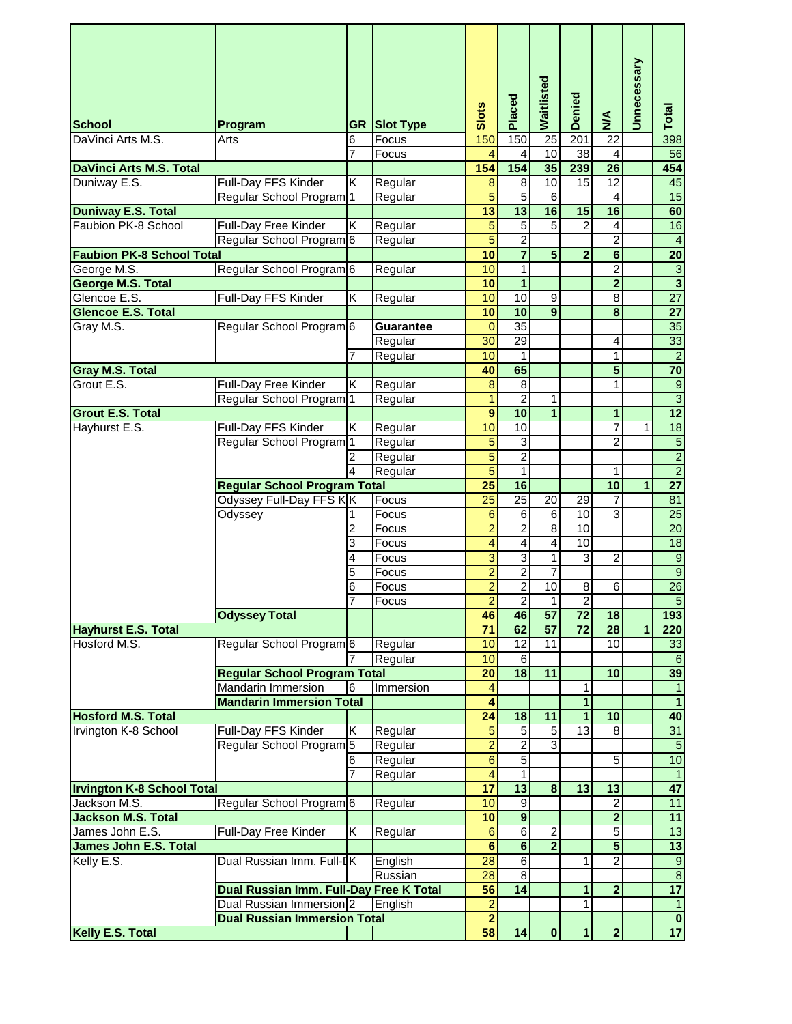|                                            |                                         |   |                     |                      | Placed                   | Waitlisted              | Denied                             |                                    | Unnecessary  |                         |
|--------------------------------------------|-----------------------------------------|---|---------------------|----------------------|--------------------------|-------------------------|------------------------------------|------------------------------------|--------------|-------------------------|
| <b>School</b>                              | Program                                 |   | <b>GR Slot Type</b> | Slots                |                          |                         |                                    | $\sum_{i=1}^{n}$                   |              | Total                   |
| DaVinci Arts M.S.                          | Arts                                    | 6 | Focus               | 150                  | 150                      | 25                      | 201                                | 22                                 |              | 398                     |
|                                            |                                         | 7 | Focus               | $\overline{4}$       | 4                        | 10                      | 38                                 | 4                                  |              | 56                      |
| <b>DaVinci Arts M.S. Total</b>             |                                         |   |                     | 154                  | 154                      | 35                      | 239                                | $\overline{26}$                    |              | 454                     |
| Duniway E.S.                               | <b>Full-Day FFS Kinder</b>              | K | Regular             | 8                    | $\overline{8}$           | 10                      | 15                                 | 12                                 |              | 45                      |
|                                            | Regular School Program                  | 1 | Regular             | $\overline{5}$       | $\overline{5}$           | $\overline{6}$          |                                    | $\overline{4}$                     |              | 15                      |
| <b>Duniway E.S. Total</b>                  |                                         |   |                     | $\overline{13}$      | $\overline{13}$          | 16                      | 15                                 | 16                                 |              | 60                      |
| Faubion PK-8 School                        | Full-Day Free Kinder                    | Κ | Regular             | 5                    | 5                        | $\overline{5}$          | $\overline{2}$                     | 4                                  |              | 16                      |
|                                            | Regular School Program 6                |   | Regular             | $\overline{5}$       | $\overline{2}$           |                         |                                    | $\overline{2}$                     |              | $\overline{4}$          |
| <b>Faubion PK-8 School Total</b>           |                                         |   |                     | $\overline{10}$      | $\overline{\mathbf{7}}$  | $\overline{\mathbf{5}}$ | $\overline{2}$                     | $\overline{6}$                     |              | $\frac{20}{3}$          |
| George M.S.                                | Regular School Program <sup>6</sup>     |   | Regular             | 10                   | $\mathbf{1}$             |                         |                                    | $\overline{2}$                     |              |                         |
| <b>George M.S. Total</b>                   |                                         |   |                     | 10                   | $\mathbf{1}$             |                         |                                    | $\overline{2}$                     |              | $\overline{\mathbf{3}}$ |
| Glencoe E.S.                               | Full-Day FFS Kinder                     | Κ | Regular             | 10                   | $\overline{10}$          | $\overline{9}$          |                                    | $\overline{8}$                     |              | 27                      |
| <b>Glencoe E.S. Total</b>                  |                                         |   |                     | 10                   | 10                       | 9                       |                                    | 8                                  |              | $\overline{27}$         |
| Gray M.S.                                  | Regular School Program 6                |   | <b>Guarantee</b>    | 0                    | $\overline{35}$          |                         |                                    |                                    |              | 35                      |
|                                            |                                         |   | Regular             | $\overline{30}$      | 29                       |                         |                                    | 4                                  |              | 33                      |
|                                            |                                         | 7 | Regular             | 10                   | 1                        |                         |                                    | $\mathbf{1}$                       |              | $\overline{2}$          |
| <b>Gray M.S. Total</b>                     |                                         |   |                     | 40                   | 65                       |                         |                                    | $\overline{5}$                     |              | $\overline{70}$         |
| Grout E.S.                                 | Full-Day Free Kinder                    | Κ | Regular             | 8                    | 8                        |                         |                                    | 1                                  |              | $\overline{9}$          |
|                                            | Regular School Program <sup>1</sup>     |   | Regular             | $\overline{1}$       | $\overline{2}$           | $\mathbf{1}$            |                                    |                                    |              | $\overline{3}$          |
| <b>Grout E.S. Total</b>                    |                                         |   |                     | 9                    | 10                       | $\overline{1}$          |                                    | $\mathbf{1}$                       |              | $\overline{12}$         |
| Hayhurst E.S.                              | Full-Day FFS Kinder                     | Κ | Regular             | 10                   | $\overline{10}$          |                         |                                    | 7                                  | 1            | $\overline{18}$         |
|                                            | Regular School Program <sup>1</sup>     |   | Regular             | $\overline{5}$       | 3                        |                         |                                    | $\overline{c}$                     |              |                         |
|                                            |                                         | 2 | Regular             | $\overline{5}$       | $\overline{2}$           |                         |                                    |                                    |              | $\frac{5}{2}$           |
|                                            |                                         | 4 | Regular             | $\overline{5}$       | $\mathbf{1}$             |                         |                                    | 1                                  |              |                         |
|                                            | <b>Regular School Program Total</b>     |   |                     | $\overline{25}$      | 16                       |                         |                                    | 10                                 | $\mathbf{1}$ | $\overline{27}$         |
|                                            | Odyssey Full-Day FFS KK                 |   | Focus               | $\overline{25}$      | $\overline{25}$          | 20                      | 29                                 | $\overline{7}$                     |              | 81                      |
|                                            | Odyssey                                 | 1 | Focus               | 6                    | $\,6$                    | 6                       | 10                                 | $\overline{3}$                     |              | $\overline{25}$         |
|                                            |                                         | 2 | Focus               | $\overline{2}$       | $\overline{2}$           | 8                       | 10                                 |                                    |              | $\overline{20}$         |
|                                            |                                         | 3 | Focus               | 4                    | 4                        | $\overline{4}$          | 10                                 |                                    |              | 18                      |
|                                            |                                         | 4 | Focus               | $\overline{3}$       | $\overline{3}$           | $\overline{1}$          | $\overline{3}$                     | $\overline{2}$                     |              | $\overline{9}$          |
|                                            |                                         | 5 | Focus               | $\overline{2}$       | $\overline{2}$           | $\overline{7}$          |                                    |                                    |              | $\overline{9}$          |
|                                            |                                         | 6 | Focus               | $\overline{2}$       | $\overline{2}$           | 10                      | $\overline{8}$                     | $\overline{6}$                     |              | 26<br>$\overline{5}$    |
|                                            |                                         |   | Focus               | $\overline{2}$       | $\overline{2}$           | $\mathbf{1}$            | $\overline{2}$                     |                                    |              |                         |
|                                            | <b>Odyssey Total</b>                    |   |                     | 46                   | 46<br>62                 | $\overline{57}$         | $\overline{72}$<br>$\overline{72}$ | $\overline{18}$<br>$\overline{28}$ |              | 193                     |
| <b>Hayhurst E.S. Total</b><br>Hosford M.S. | Regular School Program 6                |   | Regular             | 71<br>10             | $\overline{12}$          | 57<br>11                |                                    | 10                                 | 1            | 220                     |
|                                            |                                         |   | Regular             | 10                   | $\overline{6}$           |                         |                                    |                                    |              | 33<br>$\overline{6}$    |
|                                            | <b>Regular School Program Total</b>     |   |                     | $\overline{20}$      | $\overline{\mathbf{18}}$ | 11                      |                                    | 10                                 |              | 39                      |
|                                            | <b>Mandarin Immersion</b>               | 6 | Immersion           | 4                    |                          |                         | 1                                  |                                    |              | $\mathbf{1}$            |
|                                            | <b>Mandarin Immersion Total</b>         |   |                     | 4                    |                          |                         | $\overline{1}$                     |                                    |              | $\overline{1}$          |
| <b>Hosford M.S. Total</b>                  |                                         |   |                     | $\overline{24}$      | $\overline{18}$          | 11                      | $\overline{1}$                     | 10                                 |              | 40                      |
| Irvington K-8 School                       | Full-Day FFS Kinder                     | Κ | Regular             | $\overline{5}$       | $\overline{5}$           | $\overline{5}$          | 13                                 | $\overline{8}$                     |              | 31                      |
|                                            | Regular School Program <sup>5</sup>     |   | Regular             | $\overline{2}$       | $\overline{2}$           | ω                       |                                    |                                    |              | $\overline{5}$          |
|                                            |                                         | 6 | Regular             | $\overline{6}$       | $\overline{5}$           |                         |                                    | 5                                  |              | 10                      |
|                                            |                                         | 7 | Regular             | $\overline{4}$       | $\mathbf{1}$             |                         |                                    |                                    |              | $\overline{1}$          |
| <b>Irvington K-8 School Total</b>          |                                         |   |                     | $\overline{17}$      | $\overline{13}$          | $\overline{\mathbf{8}}$ | 13                                 | $\overline{13}$                    |              | 47                      |
| Jackson M.S.                               | Regular School Program 6                |   | Regular             | 10                   | $\overline{9}$           |                         |                                    | $\overline{2}$                     |              | 11                      |
| Jackson M.S. Total                         |                                         |   |                     | 10                   | $\overline{9}$           |                         |                                    | $\overline{2}$                     |              | 11                      |
| James John E.S.                            | <b>Full-Day Free Kinder</b>             | Κ | Regular             | 6                    | 6                        | 2                       |                                    | $\overline{5}$                     |              | $\overline{13}$         |
| <b>James John E.S. Total</b>               |                                         |   |                     | $6\overline{6}$      | $\overline{\mathbf{6}}$  | $\overline{2}$          |                                    | $\overline{\mathbf{5}}$            |              | $\overline{13}$         |
| Kelly E.S.                                 | Dual Russian Imm. Full-IK               |   | English             | 28                   | 6                        |                         | 1                                  | $\overline{2}$                     |              | $\overline{9}$          |
|                                            |                                         |   | Russian             | 28                   | $\infty$                 |                         |                                    |                                    |              | $\overline{8}$          |
|                                            | Dual Russian Imm. Full-Day Free K Total |   |                     | 56                   | 14                       |                         | $\mathbf{1}$                       | $\overline{2}$                     |              | 17                      |
|                                            | Dual Russian Immersion <sup>2</sup>     |   | English             | $\overline{c}$       |                          |                         | 1                                  |                                    |              | $\overline{1}$          |
|                                            | <b>Dual Russian Immersion Total</b>     |   |                     | $\overline{2}$<br>58 |                          |                         |                                    |                                    |              | $\overline{\mathbf{0}}$ |
| Kelly E.S. Total                           |                                         |   |                     |                      | 14                       | $\bf{0}$                | $\mathbf{1}$                       | $\overline{2}$                     |              | 17                      |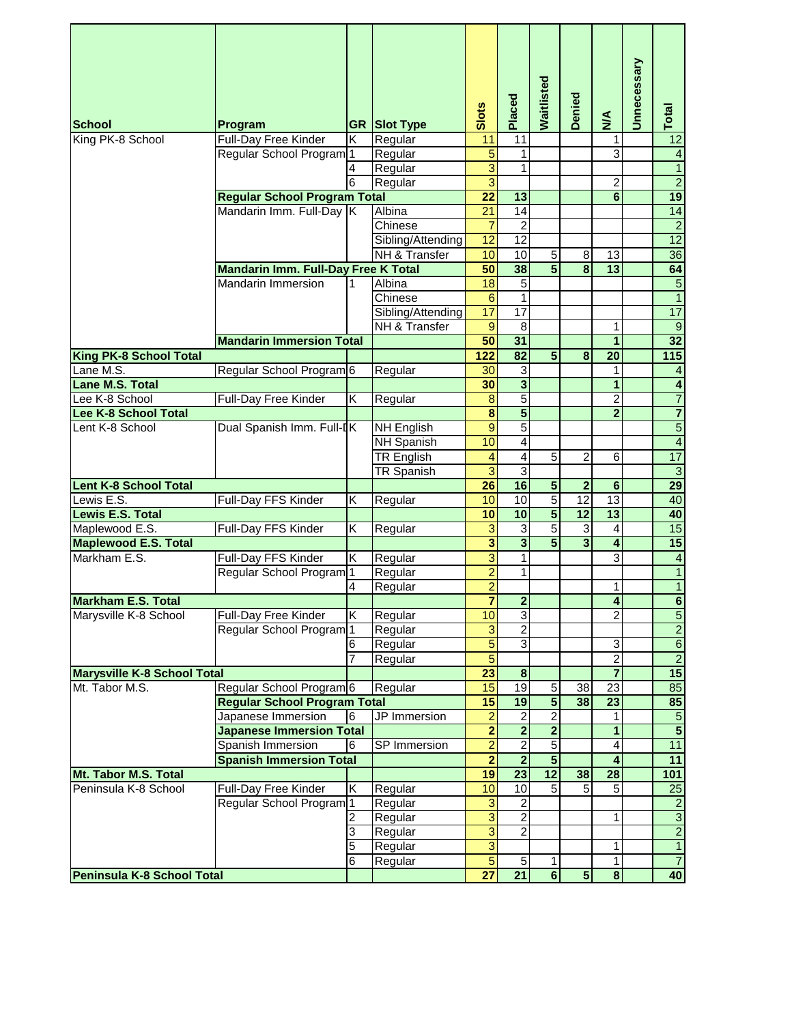| <b>School</b>                      | Program                                    |   | <b>GR Slot Type</b> | Slots                   | Placed                  | Waitlisted              | <b>Denied</b>           | $\sum_{i=1}^{n}$        | Unnecessary | Total                     |
|------------------------------------|--------------------------------------------|---|---------------------|-------------------------|-------------------------|-------------------------|-------------------------|-------------------------|-------------|---------------------------|
| King PK-8 School                   | Full-Day Free Kinder                       | Κ | Regular             | 11                      | 11                      |                         |                         | 1                       |             | 12                        |
|                                    | Regular School Program <sup>1</sup>        |   | Regular             | $\overline{5}$          | 1                       |                         |                         | 3                       |             | $\overline{4}$            |
|                                    |                                            | 4 | Regular             | $\overline{3}$          | 1                       |                         |                         |                         |             | $\overline{1}$            |
|                                    |                                            | 6 | Regular             | $\overline{3}$          |                         |                         |                         | $\overline{c}$          |             | $\overline{2}$            |
|                                    | <b>Regular School Program Total</b>        |   |                     | $\overline{22}$         | 13                      |                         |                         | $6\phantom{1}$          |             | 19                        |
|                                    | Mandarin Imm. Full-Day K                   |   | Albina              | 21                      | 14                      |                         |                         |                         |             | 14                        |
|                                    |                                            |   | Chinese             | 7                       | $\overline{2}$          |                         |                         |                         |             | $\overline{2}$            |
|                                    |                                            |   | Sibling/Attending   | $\overline{12}$         | 12                      |                         |                         |                         |             | 12                        |
|                                    |                                            |   | NH & Transfer       | 10                      | 10                      | 5                       | 8                       | 13                      |             | 36                        |
|                                    | <b>Mandarin Imm. Full-Day Free K Total</b> |   |                     | 50                      | 38                      | $\overline{5}$          | $\overline{\mathbf{8}}$ | 13                      |             | 64                        |
|                                    | Mandarin Immersion                         | 1 | Albina              | $\overline{18}$         | $\overline{5}$          |                         |                         |                         |             | $\overline{5}$            |
|                                    |                                            |   | Chinese             | 6                       | $\mathbf{1}$            |                         |                         |                         |             | $\overline{1}$            |
|                                    |                                            |   | Sibling/Attending   | 17                      | $\overline{17}$         |                         |                         |                         |             | 17                        |
|                                    |                                            |   | NH & Transfer       | $\overline{9}$          | 8                       |                         |                         | 1                       |             | $\overline{9}$            |
|                                    | <b>Mandarin Immersion Total</b>            |   |                     | 50                      | 31                      |                         |                         | 1                       |             | $\overline{32}$           |
| <b>King PK-8 School Total</b>      |                                            |   |                     | 122                     | $\overline{82}$         | $\overline{5}$          | 8                       | $\overline{20}$         |             | $\overline{115}$          |
| Lane M.S.                          | Regular School Program 6                   |   | Regular             | 30                      | 3                       |                         |                         | 1                       |             | $\overline{4}$            |
| Lane M.S. Total                    |                                            |   |                     | 30                      | $\overline{\mathbf{3}}$ |                         |                         | $\overline{1}$          |             | $\overline{4}$            |
| Lee K-8 School                     | Full-Day Free Kinder                       | Κ | Regular             | $\overline{8}$          | $\overline{5}$          |                         |                         | $\overline{2}$          |             | $\overline{7}$            |
| Lee K-8 School Total               |                                            |   |                     | $\overline{\mathbf{8}}$ | $\overline{\mathbf{5}}$ |                         |                         | $\overline{2}$          |             | $\overline{7}$            |
| Lent K-8 School                    | Dual Spanish Imm. Full-IK                  |   | <b>NH English</b>   | 9                       | $\overline{5}$          |                         |                         |                         |             | $\overline{5}$            |
|                                    |                                            |   | <b>NH Spanish</b>   | 10                      | 4                       |                         |                         |                         |             | $\overline{4}$            |
|                                    |                                            |   | <b>TR English</b>   | 4                       | $\overline{\mathbf{4}}$ | $\overline{5}$          | $\overline{c}$          | 6                       |             | $\overline{17}$           |
|                                    |                                            |   | <b>TR Spanish</b>   | $\overline{3}$          | $\overline{3}$          |                         |                         |                         |             | $\overline{\overline{3}}$ |
| <b>Lent K-8 School Total</b>       |                                            |   |                     | $\overline{26}$         | 16                      | $\overline{\mathbf{5}}$ | $\overline{2}$          | $6\phantom{1}$          |             | 29                        |
| Lewis E.S.                         | Full-Day FFS Kinder                        | Κ | Regular             | 10                      | 10                      | $\overline{5}$          | 12                      | 13                      |             | 40                        |
| Lewis E.S. Total                   |                                            |   |                     | 10                      | 10                      | $\overline{\mathbf{5}}$ | 12                      | 13                      |             | 40                        |
| Maplewood E.S.                     | Full-Day FFS Kinder                        | K | Regular             | 3                       | $\overline{3}$          | $\overline{5}$          | $\overline{3}$          | $\overline{4}$          |             | 15                        |
| <b>Maplewood E.S. Total</b>        |                                            |   |                     | $\overline{\mathbf{3}}$ | $\overline{\mathbf{3}}$ | $\overline{5}$          | $\overline{\mathbf{3}}$ | $\overline{\mathbf{4}}$ |             | $\overline{15}$           |
| Markham E.S.                       | Full-Day FFS Kinder                        | Κ | Regular             | $\overline{3}$          | 1                       |                         |                         | $\overline{3}$          |             | $\overline{4}$            |
|                                    | Regular School Program <sup>1</sup>        |   | Regular             | $\overline{2}$          | 1                       |                         |                         |                         |             | $\overline{1}$            |
|                                    |                                            | 4 | Regular             | $\overline{2}$          |                         |                         |                         | $\mathbf{1}$            |             | $\overline{1}$            |
| <b>Markham E.S. Total</b>          |                                            |   |                     |                         | $\overline{2}$          |                         |                         |                         |             | $\overline{\mathbf{6}}$   |
| Marysville K-8 School              | Full-Day Free Kinder                       | Κ | Regular             | 10                      | 3                       |                         |                         | $\overline{2}$          |             | $\overline{5}$            |
|                                    | Regular School Program <sup>1</sup>        |   | Regular             | $\overline{3}$          | $\overline{2}$          |                         |                         |                         |             | $\overline{2}$            |
|                                    |                                            | 6 | Regular             | 5                       | $\overline{3}$          |                         |                         | 3                       |             | $\overline{6}$            |
|                                    |                                            | 7 | Regular             | 5                       |                         |                         |                         | $\overline{2}$          |             | $\overline{2}$            |
| <b>Marysville K-8 School Total</b> |                                            |   |                     | $\overline{23}$         | $\bf8$                  |                         |                         | $\overline{\mathbf{7}}$ |             | $\overline{15}$           |
| Mt. Tabor M.S.                     | Regular School Program <sup>6</sup>        |   | Regular             | 15                      | $\overline{19}$         | $\,$ 5 $\,$             | 38                      | 23                      |             | 85                        |
|                                    | <b>Regular School Program Total</b>        |   |                     | $\overline{15}$         | 19                      | $\overline{\mathbf{5}}$ | 38                      | $\overline{23}$         |             | 85                        |
|                                    | Japanese Immersion                         | 6 | JP Immersion        | $\overline{2}$          | $\overline{2}$          | $\overline{2}$          |                         | 1                       |             | $\overline{5}$            |
|                                    | <b>Japanese Immersion Total</b>            |   |                     | $\overline{\mathbf{2}}$ | $\overline{\mathbf{2}}$ | $\overline{2}$          |                         | $\overline{1}$          |             | $\overline{\mathbf{5}}$   |
|                                    | Spanish Immersion                          | 6 | <b>SP</b> Immersion | $\overline{2}$          | $\overline{2}$          | 5                       |                         | $\overline{\mathbf{4}}$ |             | 11                        |
|                                    | <b>Spanish Immersion Total</b>             |   |                     | $\overline{2}$          | $\overline{2}$          | $\overline{\mathbf{5}}$ |                         | 4                       |             | 11                        |
| Mt. Tabor M.S. Total               |                                            |   |                     | 19                      | $\overline{23}$         | 12                      | 38                      | $\overline{28}$         |             | 101                       |
| Peninsula K-8 School               | Full-Day Free Kinder                       | Κ | Regular             | 10                      | 10                      | $\overline{5}$          | $\overline{5}$          | $\overline{5}$          |             | <b>25</b>                 |
|                                    | Regular School Program <sup>1</sup>        |   | Regular             | $\overline{3}$          | $\overline{2}$          |                         |                         |                         |             | $\frac{2}{3}$             |
|                                    |                                            | 2 | Regular             | $\overline{3}$          | $\overline{2}$          |                         |                         | 1                       |             |                           |
|                                    |                                            | 3 | Regular             | $\overline{3}$          | $\overline{2}$          |                         |                         |                         |             | $\overline{c}$            |
|                                    |                                            | 5 | Regular             | $\overline{3}$          |                         |                         |                         | 1                       |             | $\overline{1}$            |
|                                    |                                            | 6 | Regular             | $\overline{5}$          | $\sqrt{5}$              | 1                       |                         | $\mathbf{1}$            |             | $\overline{7}$            |
| Peninsula K-8 School Total         |                                            |   |                     | 27                      | 21                      | $\bullet$               | $\overline{\mathbf{5}}$ | $\bf 8$                 |             | 40                        |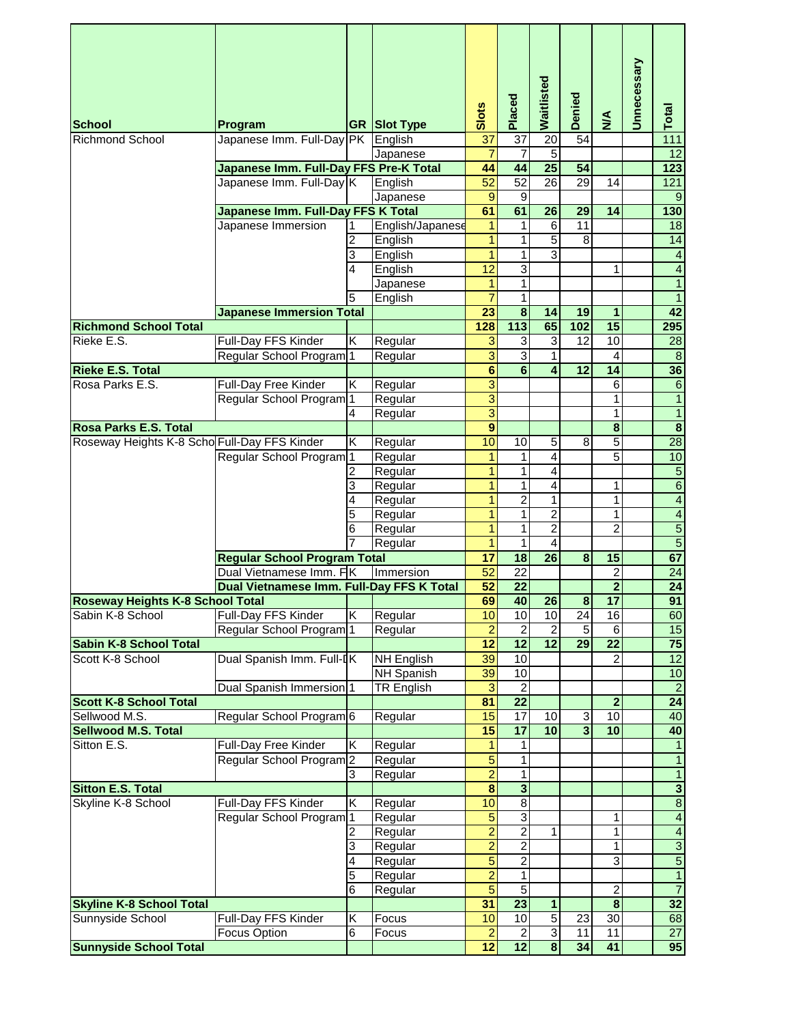| <b>School</b>                                  | Program                                   | <b>GR</b> | <b>Slot Type</b>   | Slots                   | Placed                              | Waitlisted              | Denied                  | $\sum_{i=1}^{n}$        | Unnecessary | Total                   |
|------------------------------------------------|-------------------------------------------|-----------|--------------------|-------------------------|-------------------------------------|-------------------------|-------------------------|-------------------------|-------------|-------------------------|
| <b>Richmond School</b>                         | Japanese Imm. Full-Day PK                 |           | English            | 37                      | 37                                  | 20                      | 54                      |                         |             | $\overline{111}$        |
|                                                |                                           |           | Japanese           | $\overline{7}$          | $\overline{7}$                      | $\overline{5}$          |                         |                         |             | 12                      |
|                                                | Japanese Imm. Full-Day FFS Pre-K Total    |           |                    | 44                      | 44                                  | $\overline{25}$         | 54                      |                         |             | 123                     |
|                                                | Japanese Imm. Full-Day K                  |           | English            | $\overline{52}$         | $\overline{52}$                     | $\overline{26}$         | 29                      | 14                      |             | 121                     |
|                                                |                                           |           | Japanese           | 9                       | $\boldsymbol{9}$                    |                         |                         |                         |             | 9                       |
|                                                | Japanese Imm. Full-Day FFS K Total        |           |                    | 61                      | 61                                  | 26                      | $\overline{29}$         | 14                      |             | 130                     |
|                                                | Japanese Immersion                        |           | English/Japanese   | 1                       | 1                                   | 6                       | 11                      |                         |             | $\overline{18}$         |
|                                                |                                           | 2         | English            | 1                       | 1                                   | 5                       | $\overline{8}$          |                         |             | 14                      |
|                                                |                                           | 3         | English            | $\mathbf{1}$            | 1                                   | 3                       |                         |                         |             | $\overline{4}$          |
|                                                |                                           | 4         | English            | $\overline{12}$         | 3                                   |                         |                         | 1                       |             | $\overline{4}$          |
|                                                |                                           |           | Japanese           | 1                       | 1                                   |                         |                         |                         |             | $\overline{1}$          |
|                                                |                                           | 5         | English            | $\overline{7}$          | 1                                   |                         |                         |                         |             | $\overline{1}$          |
|                                                | <b>Japanese Immersion Total</b>           |           |                    | 23                      | $\overline{\mathbf{8}}$             | 14                      | 19                      | 1                       |             | 42                      |
| <b>Richmond School Total</b>                   |                                           |           |                    | 128                     | $\frac{1}{113}$                     | 65                      | 102                     | 15                      |             | 295                     |
| Rieke E.S.                                     | Full-Day FFS Kinder                       | Κ         | Regular            | 3                       | 3                                   | 3                       | 12                      | 10                      |             | 28                      |
|                                                | Regular School Program <sup>1</sup>       |           | Regular            | $\overline{3}$          | $\overline{3}$                      | $\mathbf{1}$            |                         | 4                       |             | $\overline{8}$          |
| <b>Rieke E.S. Total</b>                        |                                           |           |                    | $\overline{\mathbf{6}}$ | $\overline{6}$                      | $\overline{\mathbf{4}}$ | $\overline{12}$         | 14                      |             | 36                      |
| Rosa Parks E.S.                                | Full-Day Free Kinder                      | Κ         | Regular            | 3                       |                                     |                         |                         | 6                       |             | $\overline{6}$          |
|                                                | Regular School Program <sup>1</sup>       |           | Regular            | $\overline{3}$          |                                     |                         |                         | 1                       |             | $\overline{1}$          |
|                                                |                                           | 4         | Regular            | $\overline{3}$          |                                     |                         |                         | 1                       |             | $\overline{1}$          |
| Rosa Parks E.S. Total                          |                                           |           |                    | $\overline{9}$          |                                     |                         |                         | $\overline{\mathbf{8}}$ |             | $\overline{\mathbf{8}}$ |
| Roseway Heights K-8 Scho Full-Day FFS Kinder   |                                           | Κ         | Regular            | 10                      | 10                                  | 5                       | 8                       | 5                       |             | 28                      |
|                                                | Regular School Program <sup>1</sup>       |           | Regular            | 1                       | 1                                   | 4                       |                         | 5                       |             | 10                      |
|                                                |                                           | 2         | Regular            | $\mathbf{1}$            | 1                                   | 4                       |                         |                         |             | $\overline{5}$          |
|                                                |                                           | 3         | Regular            | 1                       | 1                                   | 4                       |                         | 1                       |             | $\overline{6}$          |
|                                                |                                           | 4         | Regular            | 1                       | $\overline{c}$                      | $\mathbf{1}$            |                         | 1                       |             | $\overline{\mathbf{4}}$ |
|                                                |                                           | 5         | Regular            | $\overline{1}$          | 1                                   | 2                       |                         | 1                       |             | $\overline{4}$          |
|                                                |                                           | 6         | Regular            | 1                       | 1                                   | $\overline{2}$          |                         | $\overline{c}$          |             | 5                       |
|                                                |                                           |           | Regular            | 1                       | 1                                   | $\overline{4}$          |                         |                         |             | $\overline{5}$          |
|                                                | <b>Regular School Program Total</b>       |           |                    | $\overline{17}$         | 18                                  | $\overline{26}$         | 8                       | 15                      |             | 67                      |
|                                                | Dual Vietnamese Imm. FK                   |           | Immersion          | $\overline{52}$         | $\overline{22}$                     |                         |                         | 2                       |             | 24                      |
|                                                | Dual Vietnamese Imm. Full-Day FFS K Total |           |                    | 52                      | $\overline{22}$                     |                         |                         | $\overline{2}$          |             | $\overline{24}$         |
| <b>Roseway Heights K-8 School Total</b>        |                                           |           |                    | 69                      | 40                                  | 26                      | $\overline{\mathbf{8}}$ | $\overline{17}$         |             | 91                      |
| Sabin K-8 School                               | Full-Day FFS Kinder                       | Κ         | Regular            | 10                      | 10                                  | 10                      | $\overline{24}$         | $\overline{16}$         |             | 60                      |
|                                                | Regular School Program                    | l 1       | Regular            | $\overline{a}$          | $\overline{2}$                      | $\overline{2}$          | 5                       | 6                       |             | 15                      |
| <b>Sabin K-8 School Total</b>                  |                                           |           |                    | $\overline{12}$         | $\overline{12}$                     | 12                      | 29                      | $\overline{22}$         |             | $\overline{75}$         |
| Scott K-8 School                               | Dual Spanish Imm. Full-IK                 |           | <b>NH English</b>  | 39                      | 10                                  |                         |                         | 2                       |             | $\overline{12}$<br>10   |
|                                                |                                           |           | NH Spanish         | 39                      | 10                                  |                         |                         |                         |             | $\overline{2}$          |
|                                                | Dual Spanish Immersion <sup>1</sup>       |           | <b>TR English</b>  | 3<br>81                 | $\boldsymbol{2}$<br>$\overline{22}$ |                         |                         | $\mathbf{2}$            |             | $\overline{24}$         |
| <b>Scott K-8 School Total</b><br>Sellwood M.S. | Regular School Program 6                  |           |                    | 15                      | $\overline{17}$                     | 10                      | 3                       | 10                      |             | 40                      |
| <b>Sellwood M.S. Total</b>                     |                                           |           | Regular            | 15                      | $\overline{17}$                     | 10                      | $\overline{\mathbf{3}}$ | 10                      |             | 40                      |
| Sitton E.S.                                    | Full-Day Free Kinder                      |           |                    |                         | 1                                   |                         |                         |                         |             |                         |
|                                                | Regular School Program <sup>2</sup>       | Κ         | Regular<br>Regular | 1<br>5                  | 1                                   |                         |                         |                         |             | $\overline{1}$          |
|                                                |                                           | 3         | Regular            | $\overline{2}$          | 1                                   |                         |                         |                         |             | $\overline{1}$          |
| <b>Sitton E.S. Total</b>                       |                                           |           |                    | $\overline{\mathbf{8}}$ | $\overline{\mathbf{3}}$             |                         |                         |                         |             | $\overline{\mathbf{3}}$ |
| Skyline K-8 School                             | Full-Day FFS Kinder                       | Κ         | Regular            | 10                      | $\overline{8}$                      |                         |                         |                         |             | $\overline{\bf 8}$      |
|                                                | Regular School Program <sup>1</sup>       |           | Regular            | 5                       | $\overline{3}$                      |                         |                         | 1                       |             | $\overline{4}$          |
|                                                |                                           |           | Regular            | $\overline{2}$          | $\overline{2}$                      | $\mathbf{1}$            |                         | $\mathbf{1}$            |             | $\overline{4}$          |
|                                                |                                           | 3         | Regular            | $\overline{2}$          | $\overline{2}$                      |                         |                         | 1                       |             | $\overline{3}$          |
|                                                |                                           | 4         | Regular            | 5                       | $\overline{2}$                      |                         |                         | $\overline{3}$          |             | $\overline{5}$          |
|                                                |                                           | 5         | Regular            | $\overline{2}$          | 1                                   |                         |                         |                         |             | $\overline{1}$          |
|                                                |                                           | 6         | Regular            | $\overline{5}$          | $\overline{5}$                      |                         |                         | 2                       |             | $\overline{7}$          |
| <b>Skyline K-8 School Total</b>                |                                           |           |                    | 31                      | $\overline{23}$                     | $\mathbf{1}$            |                         | $\overline{\mathbf{8}}$ |             | 32                      |
| Sunnyside School                               | Full-Day FFS Kinder                       | Κ         | Focus              | 10                      | 10                                  | $\overline{5}$          | $\overline{23}$         | $\overline{30}$         |             | 68                      |
|                                                | Focus Option                              | 6         | Focus              | $\overline{a}$          | $\boldsymbol{2}$                    | $\overline{3}$          | 11                      | 11                      |             | $\overline{27}$         |
| <b>Sunnyside School Total</b>                  |                                           |           |                    | 12                      | $\overline{12}$                     | $\overline{\mathbf{8}}$ | 34                      | 41                      |             | 95                      |
|                                                |                                           |           |                    |                         |                                     |                         |                         |                         |             |                         |